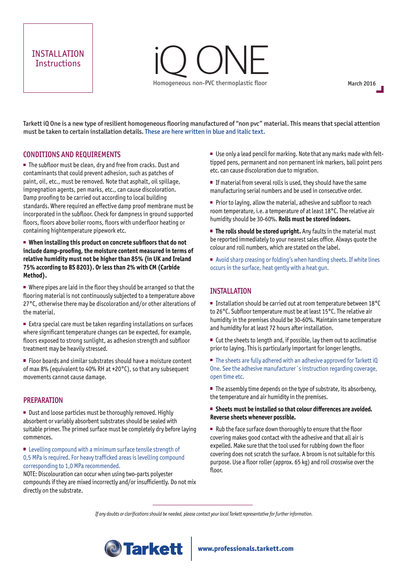# INSTALLATION **Instructions**

# iQ ONE Homogeneous non-PVC thermoplastic floor

March 2016

Tarkett iQ One is a new type of resilient homogeneous flooring manufactured of "non pvc" material. This means that special attention must be taken to certain installation details. These are here written in blue and italic text.

## CONDITIONS AND REQUIREMENTS

■ The subfloor must be clean, dry and free from cracks. Dust and contaminants that could prevent adhesion, such as patches of paint, oil, etc., must be removed. Note that asphalt, oil spillage, impregnation agents, pen marks, etc., can cause discoloration. Damp proofing to be carried out according to local building standards. Where required an effective damp proof membrane must be incorporated in the subfloor. Check for dampness in ground supported floors, floors above boiler rooms, floors with underfloor heating or containing hightemperature pipework etc.

 **When installing this product on concrete subfloors that do not include damp-proofing, the moisture content measured in terms of relative humidity must not be higher than 85% (in UK and Ireland 75% according to BS 8203). Or less than 2% with CM (Carbide Method).**

Where pipes are laid in the floor they should be arranged so that the flooring material is not continuously subjected to a temperature above 27°C, otherwise there may be discoloration and/or other alterations of the material.

■ Extra special care must be taken regarding installations on surfaces where significant temperature changes can be expected, for example, floors exposed to strong sunlight, as adhesion strength and subfloor treatment may be heavily stressed.

■ Floor boards and similar substrates should have a moisture content of max 8% (equivalent to 40% RH at +20°C), so that any subsequent movements cannot cause damage.

#### PREPARATION

■ Dust and loose particles must be thoroughly removed. Highly absorbent or variably absorbent substrates should be sealed with suitable primer. The primed surface must be completely dry before laying commences.

**EXECUTE:** Levelling compound with a minimum surface tensile strength of 0,5 MPa is required. For heavy trafficked areas is levelling compound corresponding to 1,0 MPa recommended.

NOTE: Discolouration can occur when using two-parts polyester compounds if they are mixed incorrectly and/or insufficiently. Do not mix directly on the substrate.

■ Use only a lead pencil for marking. Note that any marks made with felttipped pens, permanent and non permanent ink markers, ball point pens etc. can cause discoloration due to migration.

**If material from several rolls is used, they should have the same** manufacturing serial numbers and be used in consecutive order.

**Prior to laying, allow the material, adhesive and subfloor to reach** room temperature, i.e. a temperature of at least 18°C. The relative air humidity should be 30-60%. **Rolls must be stored indoors.**

**The rolls should be stored upright.** Any faults in the material must be reported immediately to your nearest sales office. Always quote the colour and roll numbers, which are stated on the label.

■ Avoid sharp creasing or folding's when handling sheets. If white lines occurs in the surface, heat gently with a heat gun.

## INSTALLATION

■ Installation should be carried out at room temperature between 18°C to 26°C. Subfloor temperature must be at least 15°C. The relative air humidity in the premises should be 30-60%. Maintain same temperature and humidity for at least 72 hours after installation.

 $\blacksquare$  Cut the sheets to length and, if possible, lay them out to acclimatise prior to laying. This is particularly important for longer lengths.

■ The sheets are fully adhered with an adhesive approved for Tarkett iQ One. See the adhesive manufacturer´s instruction regarding coverage, open time etc.

 $\blacksquare$  The assembly time depends on the type of substrate, its absorbency, the temperature and air humidity in the premises.

#### ■ Sheets must be installed so that colour differences are avoided. **Reverse sheets whenever possible.**

Rub the face surface down thoroughly to ensure that the floor covering makes good contact with the adhesive and that all air is expelled. Make sure that the tool used for rubbing down the floor covering does not scratch the surface. A broom is not suitable for this purpose. Use a floor roller (approx. 65 kg) and roll crosswise over the floor.

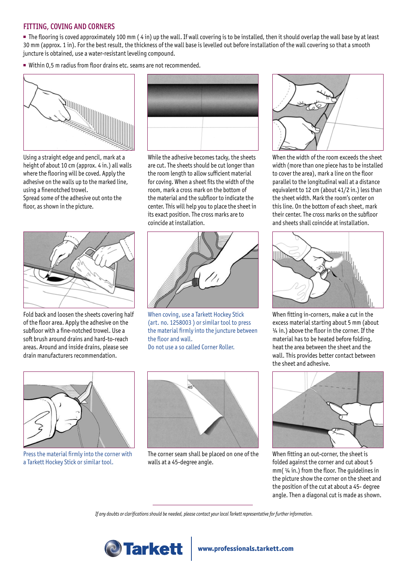# FITTING, COVING AND CORNERS

 $\blacksquare$  The flooring is coved approximately 100 mm (4 in) up the wall. If wall covering is to be installed, then it should overlap the wall base by at least 30 mm (approx. 1 in). For the best result, the thickness of the wall base is levelled out before installation of the wall covering so that a smooth juncture is obtained, use a water-resistant leveling compound.

■ Within 0.5 m radius from floor drains etc. seams are not recommended.



Using a straight edge and pencil, mark at a height of about 10 cm (approx. 4 in.) all walls where the flooring will be coved. Apply the adhesive on the walls up to the marked line, using a finenotched trowel. Spread some of the adhesive out onto the floor, as shown in the picture.



Fold back and loosen the sheets covering half of the floor area. Apply the adhesive on the subfloor with a fine-notched trowel. Use a soft brush around drains and hard-to-reach areas. Around and inside drains, please see drain manufacturers recommendation.



While the adhesive becomes tacky, the sheets are cut. The sheets should be cut longer than the room length to allow sufficient material for coving. When a sheet fits the width of the room, mark a cross mark on the bottom of the material and the subfloor to indicate the center. This will help you to place the sheet in its exact position. The cross marks are to coincide at installation.



When coving, use a Tarkett Hockey Stick (art. no. 1258003 ) or similar tool to press the material firmly into the juncture between the floor and wall.

Do not use a so called Corner Roller.



Press the material firmly into the corner with a Tarkett Hockey Stick or similar tool.



The corner seam shall be placed on one of the walls at a 45-degree angle.



When the width of the room exceeds the sheet width (more than one piece has to be installed to cover the area), mark a line on the floor parallel to the longitudinal wall at a distance equivalent to 12 cm (about 41/2 in.) less than the sheet width. Mark the room's center on this line. On the bottom of each sheet, mark their center. The cross marks on the subfloor and sheets shall coincide at installation.



When fitting in-corners, make a cut in the excess material starting about 5 mm (about  $\frac{1}{4}$  in.) above the floor in the corner. If the material has to be heated before folding, heat the area between the sheet and the wall. This provides better contact between the sheet and adhesive.



When fitting an out-corner, the sheet is folded against the corner and cut about 5 mm( ¼ in.) from the floor. The guidelines in the picture show the corner on the sheet and the position of the cut at about a 45- degree angle. Then a diagonal cut is made as shown.

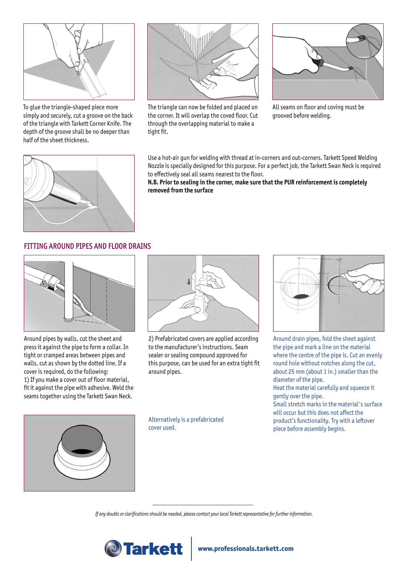

To glue the triangle-shaped piece more simply and securely, cut a groove on the back of the triangle with Tarkett Corner Knife. The depth of the groove shall be no deeper than half of the sheet thickness.



The triangle can now be folded and placed on the corner. It will overlap the coved floor. Cut through the overlapping material to make a tight fit.



All seams on floor and coving must be grooved before welding.



Use a hot-air gun for welding with thread at in-corners and out-corners. Tarkett Speed Welding Nozzle is specially designed for this purpose. For a perfect job, the Tarkett Swan Neck is required to effectively seal all seams nearest to the floor.

**N.B. Prior to sealing in the corner, make sure that the PUR reinforcement is completely removed from the surface**

# FITTING AROUND PIPES AND FLOOR DRAINS



Around pipes by walls, cut the sheet and press it against the pipe to form a collar. In tight or cramped areas between pipes and walls, cut as shown by the dotted line. If a cover is required, do the following: 1) If you make a cover out of floor material, fit it against the pipe with adhesive. Weld the seams together using the Tarkett Swan Neck.



2) Prefabricated covers are applied according to the manufacturer's instructions. Seam sealer or sealing compound approved for this purpose, can be used for an extra tight fit around pipes.



Around drain pipes, fold the sheet against the pipe and mark a line on the material where the centre of the pipe is. Cut an evenly round hole without notches along the cut, about 25 mm (about 1 in.) smaller than the diameter of the pipe.

Heat the material carefully and squeeze it gently over the pipe.

Small stretch marks in the material's surface will occur but this does not affect the product's functionality. Try with a leftover piece before assembly begins.



Alternatively is a prefabricated cover used.